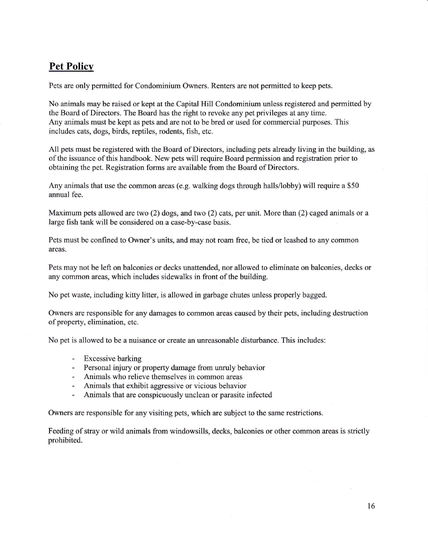## **Pet Policy**

Pets are only permitted for Condominium Owners. Renters are not permitted to keep pets.

No animals maybe raised or kept at the Capital Hill Condominium unless registered and permitted by the Board of Directors. The Board has the right to revoke any pet privileges at any time. Any animals must be kept as pets and are not to be bred or used for commercial purposes. This includes cats, dogs, birds, reptiles, rodents, fish, etc.

All pets must be registered with the Board of Directors, inciuding pets already living in the building, as of the issuance of this handbook. New pets will require Board permission and registration prior to obtaining the pet. Registration forms are available from the Board of Directors.

Any animals that use the common areas (e.g. walking dogs through halls/lobby) will require a \$50 annual fee.

Maximum pets allowed are two (2) dogs, and two (2) cats, per unit. More than (2) caged animals or a large fish tank will be considered on a case-by-case basis.

Pets must be confined to Owner's units, and may not roam free, be tied or leashed to any common areas.

Pets may not be left on balconies or decks unattended, nor allowed to eliminate on balconies, decks or any common areas, which includes sidewalks in front of the building.

No pet waste, including kitry litter, is allowed in garbage chutes unless properly bagged.

Owners are responsible for any damages to common areas caused by their pets, including destruction of property, elimination, etc.

No pet is allowed to be a nuisance or create an unreasonable disturbance. This includes:

- Excessive barking
- Personal injury or property damage from unruly behavior
- Animals who relieve themselves in common areas
- Animals that exhibit aggressive or vicious behavior
- Animals that are conspicuously unclean or parasite infected

Owners are responsible for any visiting pets, which are subject to the same restrictions.

Feeding of stray or wild animals from windowsills, decks, balconies or other common areas is strictly prohibited.